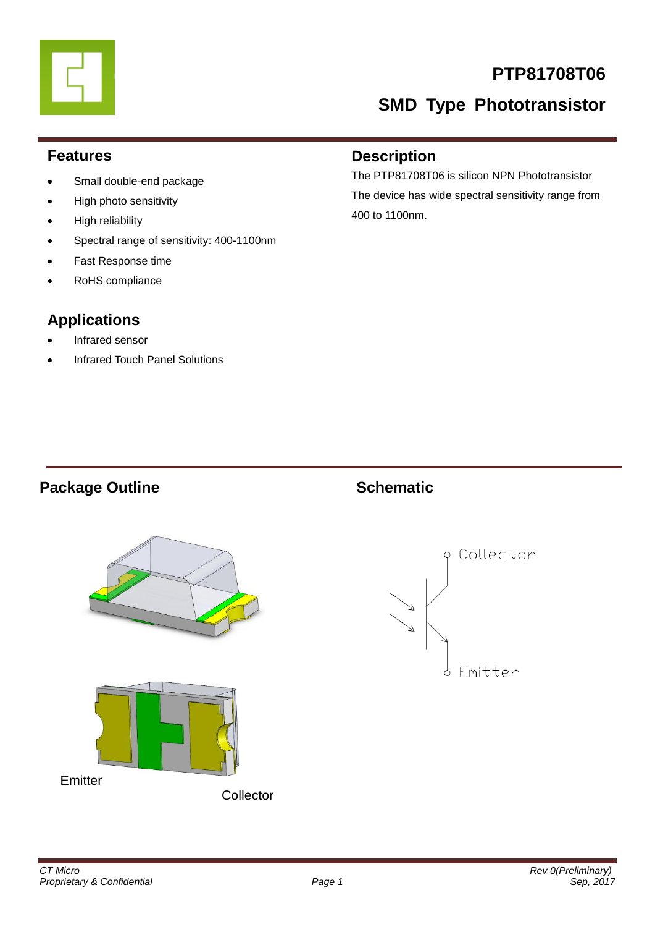# **PTP81708T06**

# **SMD Type Phototransistor**

### **Features**

- Small double-end package
- High photo sensitivity
- High reliability
- Spectral range of sensitivity: 400-1100nm
- Fast Response time
- RoHS compliance

# **Applications**

- Infrared sensor
- Infrared Touch Panel Solutions

### **Description**

The PTP81708T06 is silicon NPN Phototransistor The device has wide spectral sensitivity range from 400 to 1100nm.

## **Package Outline Schematic**



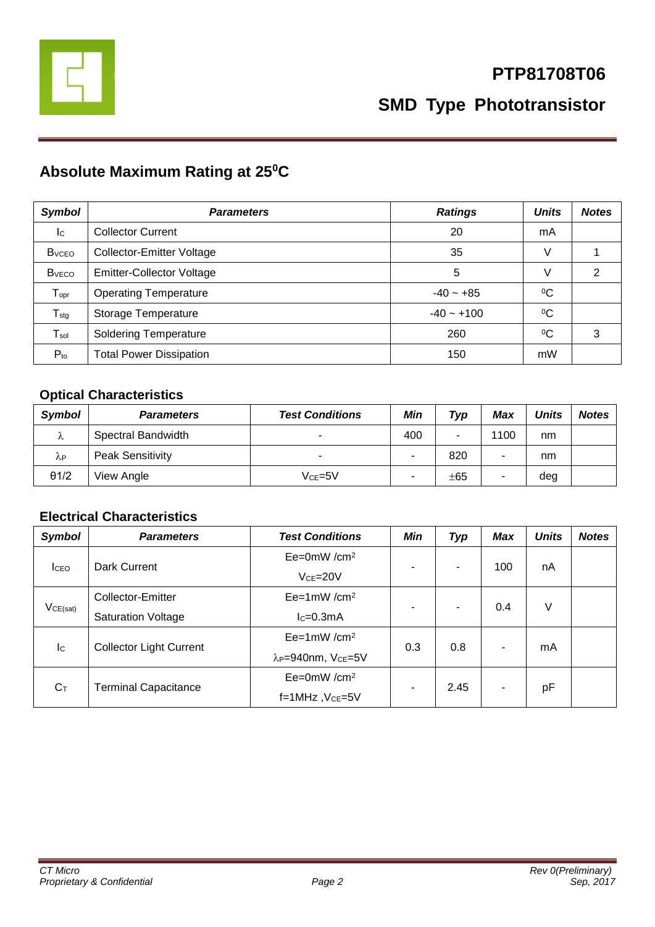

# **Absolute Maximum Rating at 25<sup>0</sup>C**

| <b>Symbol</b>             | <b>Parameters</b>                | <b>Ratings</b> | <b>Units</b> | <b>Notes</b> |
|---------------------------|----------------------------------|----------------|--------------|--------------|
| $\mathsf{I}^{\mathsf{C}}$ | <b>Collector Current</b>         | 20             | mA           |              |
| <b>B</b> <sub>vceo</sub>  | Collector-Emitter Voltage        | 35             | V            |              |
| <b>B</b> <sub>vECO</sub>  | <b>Emitter-Collector Voltage</b> | 5              | V            | 2            |
| $T_{\text{opr}}$          | <b>Operating Temperature</b>     | $-40 - +85$    | $\rm ^{0}C$  |              |
| $T_{\text{stg}}$          | Storage Temperature              | $-40 - +100$   | $\rm ^{0}C$  |              |
| $T_{sol}$                 | <b>Soldering Temperature</b>     | 260            | $\rm ^{0}C$  | 3            |
| $P_{to}$                  | <b>Total Power Dissipation</b>   | 150            | mW           |              |

### **Optical Characteristics**

| Symbol       | <b>Parameters</b>       | <b>Test Conditions</b>   | Min | Typ | Max  | <b>Units</b> | <b>Notes</b> |
|--------------|-------------------------|--------------------------|-----|-----|------|--------------|--------------|
| Λ            | Spectral Bandwidth      | $\overline{\phantom{0}}$ | 400 | -   | 1100 | nm           |              |
| λP           | <b>Peak Sensitivity</b> | $\overline{\phantom{0}}$ | -   | 820 |      | nm           |              |
| $\theta$ 1/2 | View Angle              | $V$ ce=5 $V$             | ۰   | ±65 | ۰    | deg          |              |

### **Electrical Characteristics**

| <b>Symbol</b>             | <b>Parameters</b>              | <b>Test Conditions</b>                     | <b>Min</b> | <b>Typ</b> | <b>Max</b> | <b>Units</b> | <b>Notes</b> |
|---------------------------|--------------------------------|--------------------------------------------|------------|------------|------------|--------------|--------------|
| <b>I</b> CEO              | Dark Current                   | $Ee=0mW/cm^2$                              |            | ۰          | 100        | nA           |              |
|                           |                                | $VCE=20V$                                  | ۰          |            |            |              |              |
| VCE(sat)                  | Collector-Emitter              | $Ee=1mW/cm^2$                              | ٠          | -          | 0.4        | V            |              |
|                           | <b>Saturation Voltage</b>      | $lc=0.3mA$                                 |            |            |            |              |              |
| $\mathsf{I}^{\mathsf{C}}$ | <b>Collector Light Current</b> | $Ee=1mW/cm^2$                              | 0.3        | 0.8        |            | mA           |              |
|                           |                                | λ <sub>P</sub> =940nm, V <sub>CE</sub> =5V |            |            |            |              |              |
| $C_T$                     | <b>Terminal Capacitance</b>    | $Ee=0mW/cm^2$                              | ۰          | 2.45       |            |              |              |
|                           |                                | $f=1$ MHz, $Vce=5V$                        |            |            |            | pF           |              |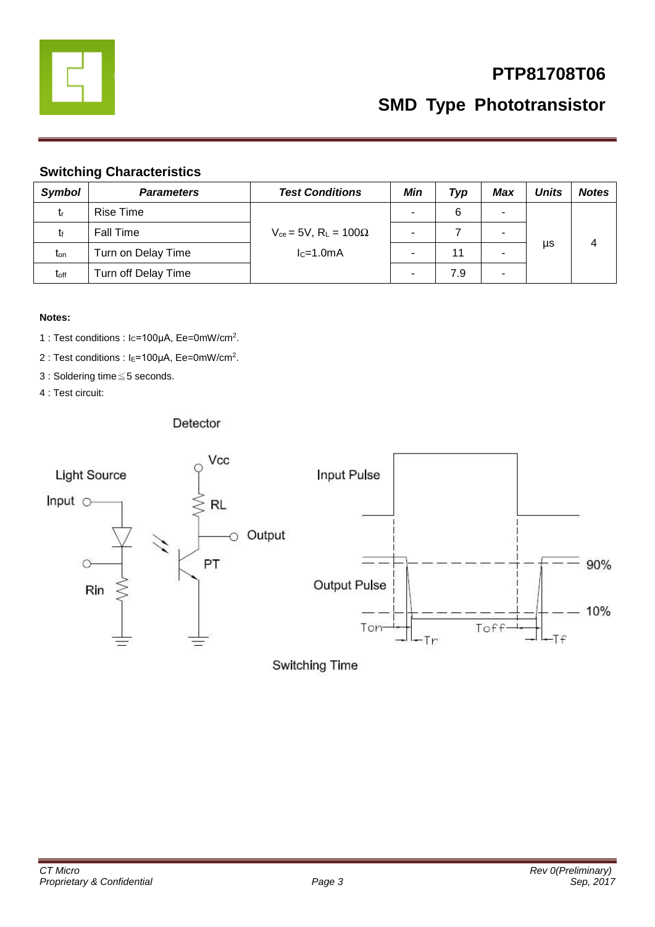

# **PTP81708T06**

**SMD Type Phototransistor**

### **Switching Characteristics**

| <b>Symbol</b>    | <b>Parameters</b>   | <b>Test Conditions</b>                       | Min                      | Typ | Max | <b>Units</b> | <b>Notes</b> |
|------------------|---------------------|----------------------------------------------|--------------------------|-----|-----|--------------|--------------|
| tr               | <b>Rise Time</b>    |                                              |                          | 6   |     |              |              |
| t۴               | Fall Time           | $V_{ce}$ = 5V, R <sub>L</sub> = 100 $\Omega$ | $\overline{\phantom{0}}$ |     |     |              |              |
| $t_{\rm on}$     | Turn on Delay Time  | $lc=1.0mA$                                   |                          | 11  |     | μs           | 4            |
| t <sub>off</sub> | Turn off Delay Time |                                              |                          | 7.9 | ۰   |              |              |

### **Notes:**

- 1 : Test conditions : Ic=100μA, Ee=0mW/cm<sup>2</sup>.
- 2 : Test conditions : I<sub>E</sub>=100μA, Ee=0mW/cm<sup>2</sup>.
- 3 : Soldering time≦5 seconds.
- 4 : Test circuit:

### Detector



Switching Time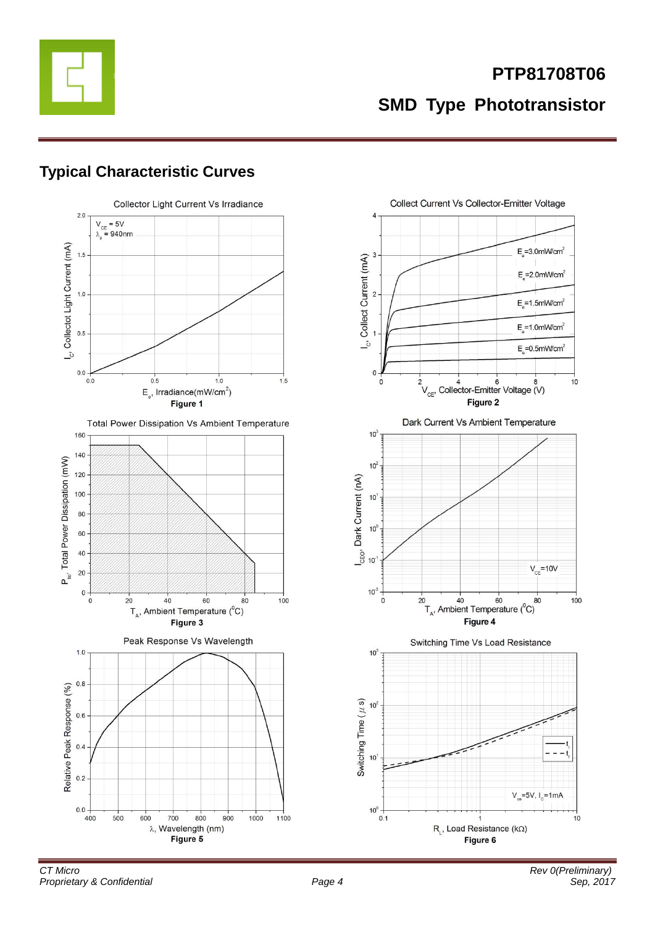

# **Typical Characteristic Curves**





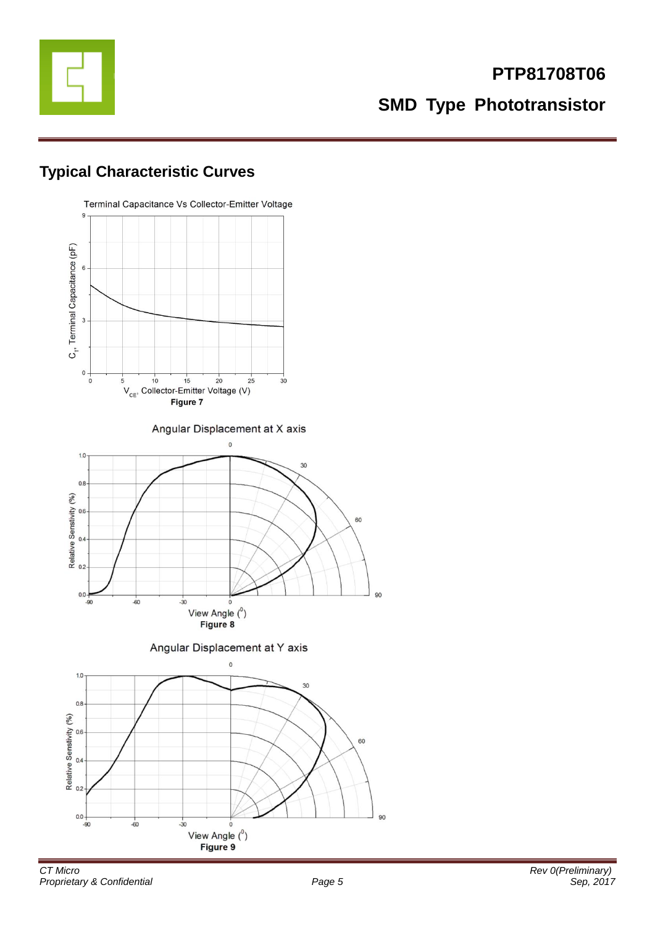

# **Typical Characteristic Curves**

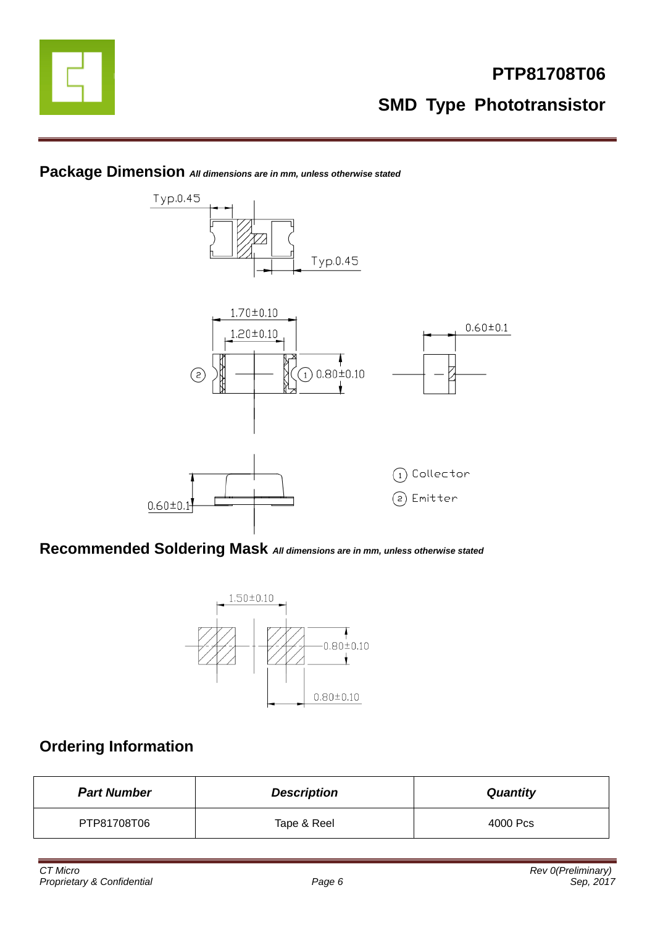



### **Package Dimension** *All dimensions are in mm, unless otherwise stated*

**Recommended Soldering Mask** *All dimensions are in mm, unless otherwise stated*



### **Ordering Information**

| <b>Part Number</b> | <b>Description</b> | <b>Quantity</b> |
|--------------------|--------------------|-----------------|
| PTP81708T06        | Tape & Reel        | 4000 Pcs        |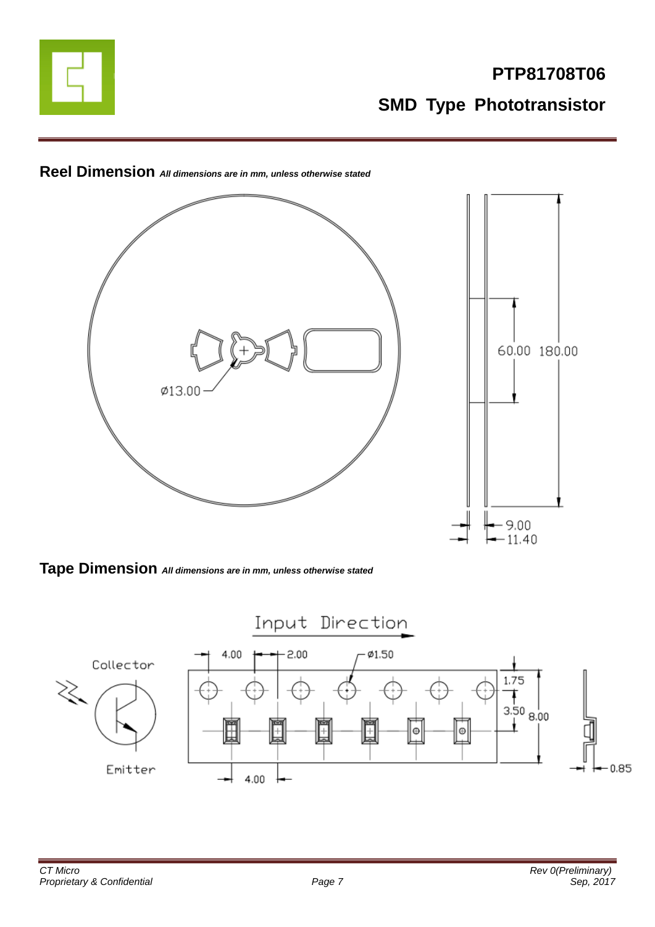



**Reel Dimension** *All dimensions are in mm, unless otherwise stated*

**Tape Dimension** *All dimensions are in mm, unless otherwise stated*

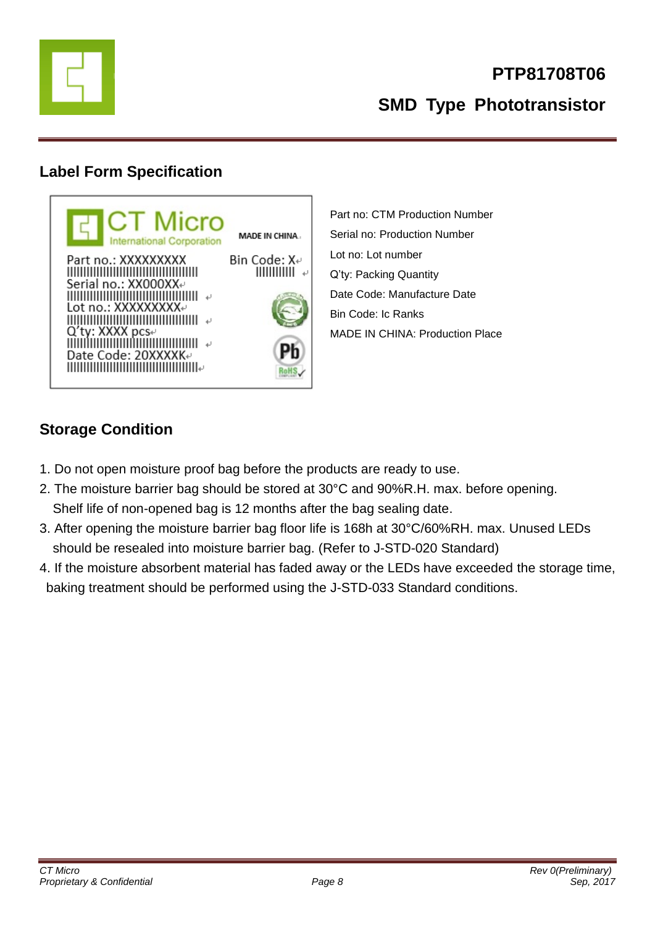

# **Label Form Specification**



Part no: CTM Production Number Serial no: Production Number Lot no: Lot number Q'ty: Packing Quantity Date Code: Manufacture Date Bin Code: Ic Ranks MADE IN CHINA: Production Place

# **Storage Condition**

- 1. Do not open moisture proof bag before the products are ready to use.
- 2. The moisture barrier bag should be stored at 30°C and 90%R.H. max. before opening. Shelf life of non-opened bag is 12 months after the bag sealing date.
- 3. After opening the moisture barrier bag floor life is 168h at 30°C/60%RH. max. Unused LEDs should be resealed into moisture barrier bag. (Refer to J-STD-020 Standard)
- 4. If the moisture absorbent material has faded away or the LEDs have exceeded the storage time, baking treatment should be performed using the J-STD-033 Standard conditions.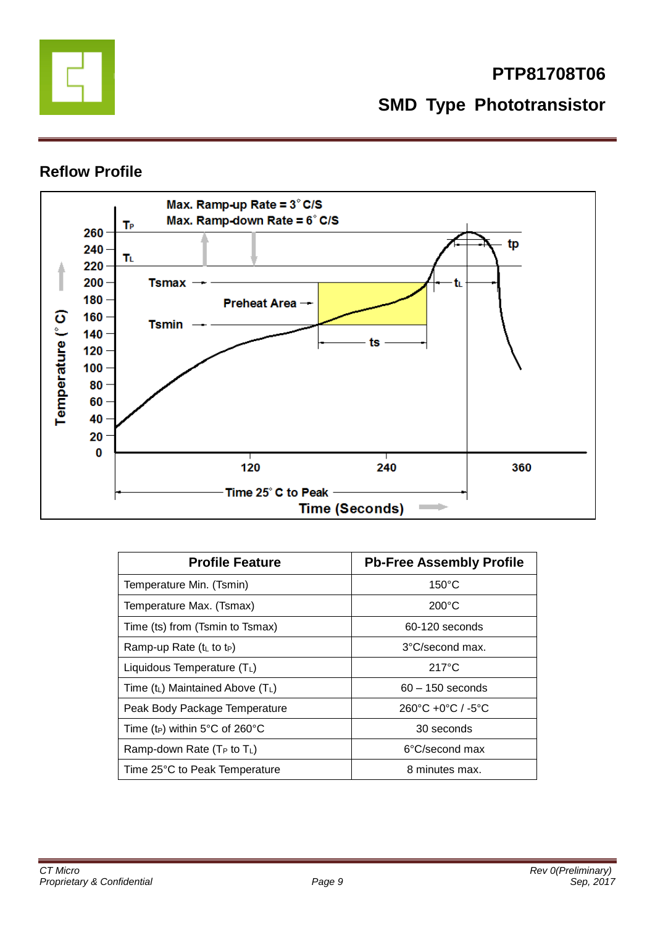

### **Reflow Profile**



| <b>Profile Feature</b>                     | <b>Pb-Free Assembly Profile</b>                   |  |  |
|--------------------------------------------|---------------------------------------------------|--|--|
| Temperature Min. (Tsmin)                   | $150^{\circ}$ C                                   |  |  |
| Temperature Max. (Tsmax)                   | $200^{\circ}$ C                                   |  |  |
| Time (ts) from (Tsmin to Tsmax)            | 60-120 seconds                                    |  |  |
| Ramp-up Rate $(tL$ to t <sub>P</sub> )     | 3°C/second max.                                   |  |  |
| Liquidous Temperature $(T_L)$              | $217^{\circ}$ C                                   |  |  |
| Time $(t_L)$ Maintained Above $(T_L)$      | $60 - 150$ seconds                                |  |  |
| Peak Body Package Temperature              | $260^{\circ}$ C +0 $^{\circ}$ C / -5 $^{\circ}$ C |  |  |
| Time (t <sub>P</sub> ) within 5°C of 260°C | 30 seconds                                        |  |  |
| Ramp-down Rate ( $T_P$ to $T_L$ )          | 6°C/second max                                    |  |  |
| Time 25°C to Peak Temperature              | 8 minutes max.                                    |  |  |